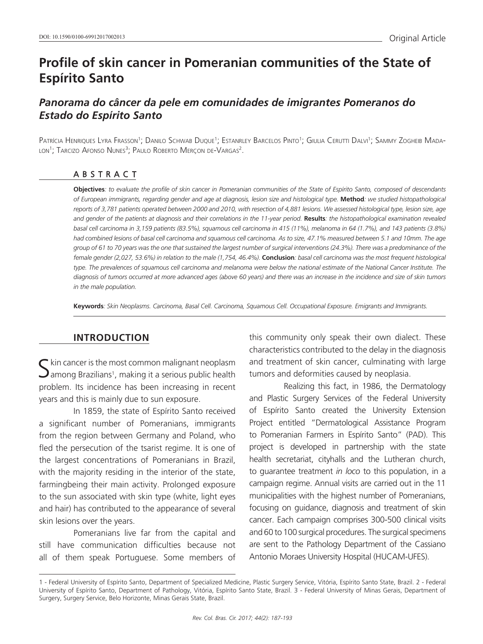# **Profile of skin cancer in Pomeranian communities of the State of Espírito Santo**

# *Panorama do câncer da pele em comunidades de imigrantes Pomeranos do Estado do Espírito Santo*

Patrícia Henriques Lyra Frasson<sup>1</sup>; Danilo Schwab Duque<sup>1</sup>; Estanrley Barcelos Pinto<sup>1</sup>; Giulia Cerutti Dalvi<sup>1</sup>; Sammy Zogheib Madalon<sup>1</sup>; Tarcizo Afonso Nunes<sup>3</sup>; Paulo Roberto Merçon de-Vargas<sup>2</sup>.

## ABSTRACT

**Objectives***: to evaluate the profile of skin cancer in Pomeranian communities of the State of Espírito Santo, composed of descendants of European immigrants, regarding gender and age at diagnosis, lesion size and histological type.* **Method***: we studied histopathological reports of 3,781 patients operated between 2000 and 2010, with resection of 4,881 lesions. We assessed histological type, lesion size, age and gender of the patients at diagnosis and their correlations in the 11-year period.* **Results***: the histopathological examination revealed basal cell carcinoma in 3,159 patients (83.5%), squamous cell carcinoma in 415 (11%), melanoma in 64 (1.7%), and 143 patients (3.8%) had combined lesions of basal cell carcinoma and squamous cell carcinoma. As to size, 47.1% measured between 5.1 and 10mm. The age group of 61 to 70 years was the one that sustained the largest number of surgical interventions (24.3%). There was a predominance of the female gender (2,027, 53.6%) in relation to the male (1,754, 46.4%).* **Conclusion***: basal cell carcinoma was the most frequent histological type. The prevalences of squamous cell carcinoma and melanoma were below the national estimate of the National Cancer Institute. The diagnosis of tumors occurred at more advanced ages (above 60 years) and there was an increase in the incidence and size of skin tumors in the male population.*

**Keywords***: Skin Neoplasms. Carcinoma, Basal Cell. Carcinoma, Squamous Cell. Occupational Exposure. Emigrants and Immigrants.*

## **INTRODUCTION**

Skin cancer is the most common malignant neoplasm<br>
Samong Brazilians<sup>1</sup>, making it a serious public health problem. Its incidence has been increasing in recent years and this is mainly due to sun exposure.

In 1859, the state of Espírito Santo received a significant number of Pomeranians, immigrants from the region between Germany and Poland, who fled the persecution of the tsarist regime. It is one of the largest concentrations of Pomeranians in Brazil, with the majority residing in the interior of the state, farmingbeing their main activity. Prolonged exposure to the sun associated with skin type (white, light eyes and hair) has contributed to the appearance of several skin lesions over the years.

Pomeranians live far from the capital and still have communication difficulties because not all of them speak Portuguese. Some members of this community only speak their own dialect. These characteristics contributed to the delay in the diagnosis and treatment of skin cancer, culminating with large tumors and deformities caused by neoplasia.

Realizing this fact, in 1986, the Dermatology and Plastic Surgery Services of the Federal University of Espírito Santo created the University Extension Project entitled "Dermatological Assistance Program to Pomeranian Farmers in Espírito Santo" (PAD). This project is developed in partnership with the state health secretariat, cityhalls and the Lutheran church, to guarantee treatment *in loco* to this population, in a campaign regime. Annual visits are carried out in the 11 municipalities with the highest number of Pomeranians, focusing on guidance, diagnosis and treatment of skin cancer. Each campaign comprises 300-500 clinical visits and 60 to 100 surgical procedures. The surgical specimens are sent to the Pathology Department of the Cassiano Antonio Moraes University Hospital (HUCAM-UFES).

<sup>1 -</sup> Federal University of Espírito Santo, Department of Specialized Medicine, Plastic Surgery Service, Vitória, Espírito Santo State, Brazil. 2 - Federal University of Espírito Santo, Department of Pathology, Vitória, Espírito Santo State, Brazil. 3 - Federal University of Minas Gerais, Department of Surgery, Surgery Service, Belo Horizonte, Minas Gerais State, Brazil.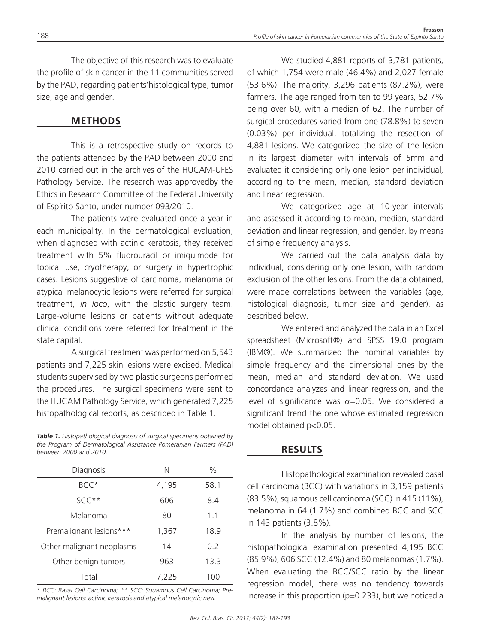The objective of this research was to evaluate the profile of skin cancer in the 11 communities served by the PAD, regarding patients'histological type, tumor size, age and gender.

### **METHODS**

This is a retrospective study on records to the patients attended by the PAD between 2000 and 2010 carried out in the archives of the HUCAM-UFES Pathology Service. The research was approvedby the Ethics in Research Committee of the Federal University of Espírito Santo, under number 093/2010.

The patients were evaluated once a year in each municipality. In the dermatological evaluation, when diagnosed with actinic keratosis, they received treatment with 5% fluorouracil or imiquimode for topical use, cryotherapy, or surgery in hypertrophic cases. Lesions suggestive of carcinoma, melanoma or atypical melanocytic lesions were referred for surgical treatment, *in loco*, with the plastic surgery team. Large-volume lesions or patients without adequate clinical conditions were referred for treatment in the state capital.

A surgical treatment was performed on 5,543 patients and 7,225 skin lesions were excised. Medical students supervised by two plastic surgeons performed the procedures. The surgical specimens were sent to the HUCAM Pathology Service, which generated 7,225 histopathological reports, as described in Table 1.

*Table 1. Histopathological diagnosis of surgical specimens obtained by the Program of Dermatological Assistance Pomeranian Farmers (PAD) between 2000 and 2010.*

| Diagnosis                 | N     | $\frac{0}{0}$ |
|---------------------------|-------|---------------|
| $BCC*$                    | 4,195 | 58.1          |
| SCC**                     | 606   | 84            |
| Melanoma                  | 80    | 1.1           |
| Premalignant lesions***   | 1,367 | 18.9          |
| Other malignant neoplasms | 14    | 0.2           |
| Other benign tumors       | 963   | 13.3          |
| Total                     | 7,225 | 100           |

*\* BCC: Basal Cell Carcinoma; \*\* SCC: Squamous Cell Carcinoma; Premalignant lesions: actinic keratosis and atypical melanocytic nevi.*

We studied 4,881 reports of 3,781 patients, of which 1,754 were male (46.4%) and 2,027 female (53.6%). The majority, 3,296 patients (87.2%), were farmers. The age ranged from ten to 99 years, 52.7% being over 60, with a median of 62. The number of surgical procedures varied from one (78.8%) to seven (0.03%) per individual, totalizing the resection of 4,881 lesions. We categorized the size of the lesion in its largest diameter with intervals of 5mm and evaluated it considering only one lesion per individual, according to the mean, median, standard deviation and linear regression.

We categorized age at 10-year intervals and assessed it according to mean, median, standard deviation and linear regression, and gender, by means of simple frequency analysis.

We carried out the data analysis data by individual, considering only one lesion, with random exclusion of the other lesions. From the data obtained, were made correlations between the variables (age, histological diagnosis, tumor size and gender), as described below.

We entered and analyzed the data in an Excel spreadsheet (Microsoft®) and SPSS 19.0 program (IBM®). We summarized the nominal variables by simple frequency and the dimensional ones by the mean, median and standard deviation. We used concordance analyzes and linear regression, and the level of significance was  $\alpha$ =0.05. We considered a significant trend the one whose estimated regression model obtained p<0.05.

#### **RESULTS**

Histopathological examination revealed basal cell carcinoma (BCC) with variations in 3,159 patients (83.5%), squamous cell carcinoma (SCC) in 415 (11%), melanoma in 64 (1.7%) and combined BCC and SCC in 143 patients (3.8%).

In the analysis by number of lesions, the histopathological examination presented 4,195 BCC (85.9%), 606 SCC (12.4%) and 80 melanomas (1.7%). When evaluating the BCC/SCC ratio by the linear regression model, there was no tendency towards increase in this proportion (p=0.233), but we noticed a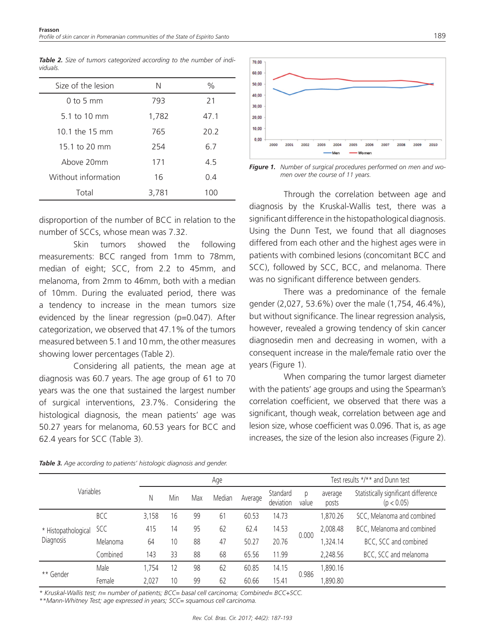| Size of the lesion  | N     | $\%$           |
|---------------------|-------|----------------|
| $0$ to 5 mm         | 793   | 21             |
| 5.1 to 10 mm        | 1,782 | 47.1           |
| 10.1 the 15 mm      | 765   | 20.2           |
| 15.1 to 20 mm       | 254   | 6.7            |
| Above 20mm          | 171   | 4.5            |
| Without information | 16    | 0 <sub>4</sub> |
| Total               | 3,781 | 100            |

*Table 2. Size of tumors categorized according to the number of individuals.*

disproportion of the number of BCC in relation to the number of SCCs, whose mean was 7.32.

Skin tumors showed the following measurements: BCC ranged from 1mm to 78mm, median of eight; SCC, from 2.2 to 45mm, and melanoma, from 2mm to 46mm, both with a median of 10mm. During the evaluated period, there was a tendency to increase in the mean tumors size evidenced by the linear regression (p=0.047). After categorization, we observed that 47.1% of the tumors measured between 5.1 and 10 mm, the other measures showing lower percentages (Table 2).

Considering all patients, the mean age at diagnosis was 60.7 years. The age group of 61 to 70 years was the one that sustained the largest number of surgical interventions, 23.7%. Considering the histological diagnosis, the mean patients' age was 50.27 years for melanoma, 60.53 years for BCC and 62.4 years for SCC (Table 3).



*Figure 1. Number of surgical procedures performed on men and women over the course of 11 years.*

Through the correlation between age and diagnosis by the Kruskal-Wallis test, there was a significant difference in the histopathological diagnosis. Using the Dunn Test, we found that all diagnoses differed from each other and the highest ages were in patients with combined lesions (concomitant BCC and SCC), followed by SCC, BCC, and melanoma. There was no significant difference between genders.

There was a predominance of the female gender (2,027, 53.6%) over the male (1,754, 46.4%), but without significance. The linear regression analysis, however, revealed a growing tendency of skin cancer diagnosedin men and decreasing in women, with a consequent increase in the male/female ratio over the years (Figure 1).

When comparing the tumor largest diameter with the patients' age groups and using the Spearman's correlation coefficient, we observed that there was a significant, though weak, correlation between age and lesion size, whose coefficient was 0.096. That is, as age increases, the size of the lesion also increases (Figure 2).

| Variables                        |            | Age   |     |     |        | Test results */** and Dunn test |                       |            |                  |                                                    |
|----------------------------------|------------|-------|-----|-----|--------|---------------------------------|-----------------------|------------|------------------|----------------------------------------------------|
|                                  |            | Ν     | Min | Max | Median | Average                         | Standard<br>deviation | D<br>value | average<br>posts | Statistically significant difference<br>(p < 0.05) |
| * Histopathological<br>Diagnosis | <b>BCC</b> | 3,158 | 16  | 99  | 61     | 60.53                           | 14.73                 | 0.000      | 1,870.26         | SCC, Melanoma and combined                         |
|                                  | SCC        | 415   | 14  | 95  | 62     | 62.4                            | 14.53                 |            | 2,008.48         | BCC, Melanoma and combined                         |
|                                  | Melanoma   | 64    | 10  | 88  | 47     | 50.27                           | 20.76                 |            | 1,324.14         | BCC, SCC and combined                              |
|                                  | Combined   | 143   | 33  | 88  | 68     | 65.56                           | 11.99                 |            | 2,248.56         | BCC, SCC and melanoma                              |
| ** Gender                        | Male       | ,754  | 12  | 98  | 62     | 60.85                           | 14.15                 | 0.986      | 890.16           |                                                    |
|                                  | Female     | 2.027 | 10  | 99  | 62     | 60.66                           | 15.41                 |            | 890.80           |                                                    |

*Table 3. Age according to patients' histologic diagnosis and gender.*

*\* Kruskal-Wallis test; n= number of patients; BCC= basal cell carcinoma; Combined= BCC+SCC.*

*\*\*Mann-Whitney Test; age expressed in years; SCC= squamous cell carcinoma.*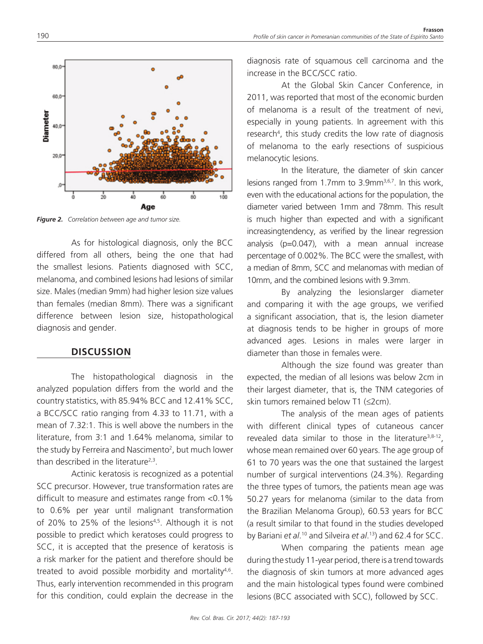60,0 40.0  $20.0$ 50  $\frac{1}{20}$ 40 ÷  $100$ 

*Figure 2. Correlation between age and tumor size.*

As for histological diagnosis, only the BCC differed from all others, being the one that had the smallest lesions. Patients diagnosed with SCC, melanoma, and combined lesions had lesions of similar size. Males (median 9mm) had higher lesion size values than females (median 8mm). There was a significant difference between lesion size, histopathological diagnosis and gender.

#### **DISCUSSION**

The histopathological diagnosis in the analyzed population differs from the world and the country statistics, with 85.94% BCC and 12.41% SCC, a BCC/SCC ratio ranging from 4.33 to 11.71, with a mean of 7.32:1. This is well above the numbers in the literature, from 3:1 and 1.64% melanoma, similar to the study by Ferreira and Nascimento<sup>2</sup>, but much lower than described in the literature<sup>2,3</sup>.

Actinic keratosis is recognized as a potential SCC precursor. However, true transformation rates are difficult to measure and estimates range from <0.1% to 0.6% per year until malignant transformation of 20% to 25% of the lesions<sup>4,5</sup>. Although it is not possible to predict which keratoses could progress to SCC, it is accepted that the presence of keratosis is a risk marker for the patient and therefore should be treated to avoid possible morbidity and mortality<sup>4,6</sup>. Thus, early intervention recommended in this program for this condition, could explain the decrease in the

diagnosis rate of squamous cell carcinoma and the increase in the BCC/SCC ratio.

At the Global Skin Cancer Conference, in 2011, was reported that most of the economic burden of melanoma is a result of the treatment of nevi, especially in young patients. In agreement with this research<sup>4</sup>, this study credits the low rate of diagnosis of melanoma to the early resections of suspicious melanocytic lesions.

In the literature, the diameter of skin cancer lesions ranged from 1.7mm to 3.9mm3,6,7. In this work, even with the educational actions for the population, the diameter varied between 1mm and 78mm. This result is much higher than expected and with a significant increasingtendency, as verified by the linear regression analysis (p=0.047), with a mean annual increase percentage of 0.002%. The BCC were the smallest, with a median of 8mm, SCC and melanomas with median of 10mm, and the combined lesions with 9.3mm.

By analyzing the lesionslarger diameter and comparing it with the age groups, we verified a significant association, that is, the lesion diameter at diagnosis tends to be higher in groups of more advanced ages. Lesions in males were larger in diameter than those in females were.

Although the size found was greater than expected, the median of all lesions was below 2cm in their largest diameter, that is, the TNM categories of skin tumors remained below T1 (≤2cm).

The analysis of the mean ages of patients with different clinical types of cutaneous cancer revealed data similar to those in the literature<sup>3,8-12</sup>. whose mean remained over 60 years. The age group of 61 to 70 years was the one that sustained the largest number of surgical interventions (24.3%). Regarding the three types of tumors, the patients mean age was 50.27 years for melanoma (similar to the data from the Brazilian Melanoma Group), 60.53 years for BCC (a result similar to that found in the studies developed by Bariani *et al*. 10 and Silveira *et al*. 13) and 62.4 for SCC.

When comparing the patients mean age during the study 11-year period, there is a trend towards the diagnosis of skin tumors at more advanced ages and the main histological types found were combined lesions (BCC associated with SCC), followed by SCC.

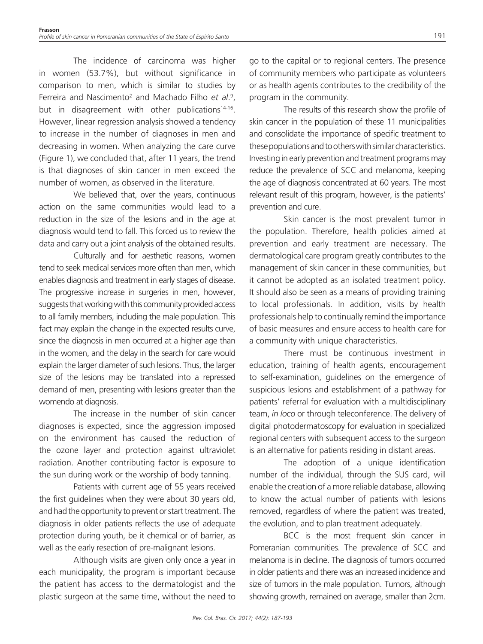The incidence of carcinoma was higher in women (53.7%), but without significance in comparison to men, which is similar to studies by Ferreira and Nascimento<sup>2</sup> and Machado Filho et al.<sup>9</sup>, but in disagreement with other publications<sup>14-16</sup>. However, linear regression analysis showed a tendency to increase in the number of diagnoses in men and decreasing in women. When analyzing the care curve (Figure 1), we concluded that, after 11 years, the trend is that diagnoses of skin cancer in men exceed the number of women, as observed in the literature.

We believed that, over the years, continuous action on the same communities would lead to a reduction in the size of the lesions and in the age at diagnosis would tend to fall. This forced us to review the data and carry out a joint analysis of the obtained results.

Culturally and for aesthetic reasons, women tend to seek medical services more often than men, which enables diagnosis and treatment in early stages of disease. The progressive increase in surgeries in men, however, suggests that working with this community provided access to all family members, including the male population. This fact may explain the change in the expected results curve, since the diagnosis in men occurred at a higher age than in the women, and the delay in the search for care would explain the larger diameter of such lesions. Thus, the larger size of the lesions may be translated into a repressed demand of men, presenting with lesions greater than the womendo at diagnosis.

The increase in the number of skin cancer diagnoses is expected, since the aggression imposed on the environment has caused the reduction of the ozone layer and protection against ultraviolet radiation. Another contributing factor is exposure to the sun during work or the worship of body tanning.

Patients with current age of 55 years received the first guidelines when they were about 30 years old, and had the opportunity to prevent or start treatment. The diagnosis in older patients reflects the use of adequate protection during youth, be it chemical or of barrier, as well as the early resection of pre-malignant lesions.

Although visits are given only once a year in each municipality, the program is important because the patient has access to the dermatologist and the plastic surgeon at the same time, without the need to

go to the capital or to regional centers. The presence of community members who participate as volunteers or as health agents contributes to the credibility of the program in the community.

The results of this research show the profile of skin cancer in the population of these 11 municipalities and consolidate the importance of specific treatment to these populations and to others with similar characteristics. Investing in early prevention and treatment programs may reduce the prevalence of SCC and melanoma, keeping the age of diagnosis concentrated at 60 years. The most relevant result of this program, however, is the patients' prevention and cure.

Skin cancer is the most prevalent tumor in the population. Therefore, health policies aimed at prevention and early treatment are necessary. The dermatological care program greatly contributes to the management of skin cancer in these communities, but it cannot be adopted as an isolated treatment policy. It should also be seen as a means of providing training to local professionals. In addition, visits by health professionals help to continually remind the importance of basic measures and ensure access to health care for a community with unique characteristics.

There must be continuous investment in education, training of health agents, encouragement to self-examination, guidelines on the emergence of suspicious lesions and establishment of a pathway for patients' referral for evaluation with a multidisciplinary team, *in loco* or through teleconference. The delivery of digital photodermatoscopy for evaluation in specialized regional centers with subsequent access to the surgeon is an alternative for patients residing in distant areas.

The adoption of a unique identification number of the individual, through the SUS card, will enable the creation of a more reliable database, allowing to know the actual number of patients with lesions removed, regardless of where the patient was treated, the evolution, and to plan treatment adequately.

BCC is the most frequent skin cancer in Pomeranian communities. The prevalence of SCC and melanoma is in decline. The diagnosis of tumors occurred in older patients and there was an increased incidence and size of tumors in the male population. Tumors, although showing growth, remained on average, smaller than 2cm.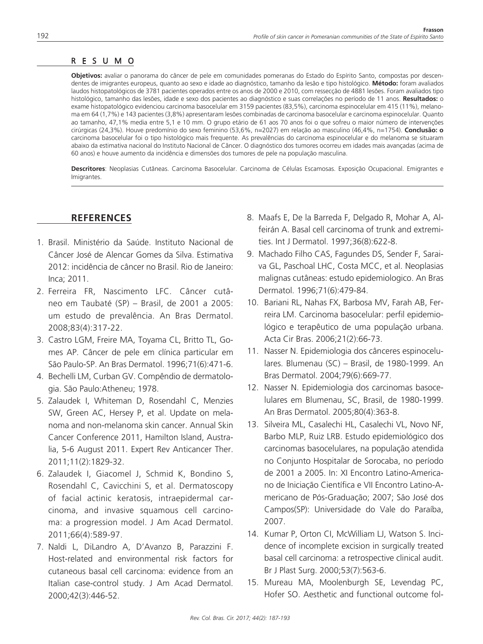# RESUMO

**Objetivos:** avaliar o panorama do câncer de pele em comunidades pomeranas do Estado do Espírito Santo, compostas por descendentes de imigrantes europeus, quanto ao sexo e idade ao diagnóstico, tamanho da lesão e tipo histológico. **Método:** foram avaliados laudos histopatológicos de 3781 pacientes operados entre os anos de 2000 e 2010, com ressecção de 4881 lesões. Foram avaliados tipo histológico, tamanho das lesões, idade e sexo dos pacientes ao diagnóstico e suas correlações no período de 11 anos. **Resultados:** o exame histopatológico evidenciou carcinoma basocelular em 3159 pacientes (83,5%), carcinoma espinocelular em 415 (11%), melanoma em 64 (1,7%) e 143 pacientes (3,8%) apresentaram lesões combinadas de carcinoma basocelular e carcinoma espinocelular. Quanto ao tamanho, 47,1% media entre 5,1 e 10 mm. O grupo etário de 61 aos 70 anos foi o que sofreu o maior número de intervenções cirúrgicas (24,3%). Houve predomínio do sexo feminino (53,6%, n=2027) em relação ao masculino (46,4%, n=1754). **Conclusão: o**  carcinoma basocelular foi o tipo histológico mais frequente. As prevalências do carcinoma espinocelular e do melanoma se situaram abaixo da estimativa nacional do Instituto Nacional de Câncer. O diagnóstico dos tumores ocorreu em idades mais avançadas (acima de 60 anos) e houve aumento da incidência e dimensões dos tumores de pele na população masculina.

**Descritores**: Neoplasias Cutâneas. Carcinoma Basocelular. Carcinoma de Células Escamosas. Exposição Ocupacional. Emigrantes e **Imigrantes** 

# **REFERENCES**

- 1. Brasil. Ministério da Saúde. Instituto Nacional de Câncer José de Alencar Gomes da Silva. Estimativa 2012: incidência de câncer no Brasil. Rio de Janeiro: Inca; 2011.
- 2. Ferreira FR, Nascimento LFC. Câncer cutâneo em Taubaté (SP) – Brasil, de 2001 a 2005: um estudo de prevalência. An Bras Dermatol. 2008;83(4):317-22.
- 3. Castro LGM, Freire MA, Toyama CL, Britto TL, Gomes AP. Câncer de pele em clínica particular em São Paulo-SP. An Bras Dermatol. 1996;71(6):471-6.
- 4. Bechelli LM, Curban GV. Compêndio de dermatologia. São Paulo:Atheneu; 1978.
- 5. Zalaudek I, Whiteman D, Rosendahl C, Menzies SW, Green AC, Hersey P, et al. Update on melanoma and non-melanoma skin cancer. Annual Skin Cancer Conference 2011, Hamilton Island, Australia, 5-6 August 2011. Expert Rev Anticancer Ther. 2011;11(2):1829-32.
- 6. Zalaudek I, Giacomel J, Schmid K, Bondino S, Rosendahl C, Cavicchini S, et al. Dermatoscopy of facial actinic keratosis, intraepidermal carcinoma, and invasive squamous cell carcinoma: a progression model. J Am Acad Dermatol. 2011;66(4):589-97.
- 7. Naldi L, DiLandro A, D'Avanzo B, Parazzini F. Host-related and environmental risk factors for cutaneous basal cell carcinoma: evidence from an Italian case-control study. J Am Acad Dermatol. 2000;42(3):446-52.
- 8. Maafs E, De la Barreda F, Delgado R, Mohar A, Alfeirán A. Basal cell carcinoma of trunk and extremities. Int J Dermatol. 1997;36(8):622-8.
- 9. Machado Filho CAS, Fagundes DS, Sender F, Saraiva GL, Paschoal LHC, Costa MCC, et al. Neoplasias malignas cutâneas: estudo epidemiologico. An Bras Dermatol. 1996;71(6):479-84.
- 10. Bariani RL, Nahas FX, Barbosa MV, Farah AB, Ferreira LM. Carcinoma basocelular: perfil epidemiológico e terapêutico de uma população urbana. Acta Cir Bras. 2006;21(2):66-73.
- 11. Nasser N. Epidemiologia dos cânceres espinocelulares. Blumenau (SC) – Brasil, de 1980-1999. An Bras Dermatol. 2004;79(6):669-77.
- 12. Nasser N. Epidemiologia dos carcinomas basocelulares em Blumenau, SC, Brasil, de 1980-1999. An Bras Dermatol. 2005;80(4):363-8.
- 13. Silveira ML, Casalechi HL, Casalechi VL, Novo NF, Barbo MLP, Ruiz LRB. Estudo epidemiológico dos carcinomas basocelulares, na população atendida no Conjunto Hospitalar de Sorocaba, no período de 2001 a 2005. In: XI Encontro Latino-Americano de Iniciação Científica e VII Encontro Latino-Americano de Pós-Graduação; 2007; São José dos Campos(SP): Universidade do Vale do Paraíba, 2007.
- 14. Kumar P, Orton CI, McWilliam LJ, Watson S. Incidence of incomplete excision in surgically treated basal cell carcinoma: a retrospective clinical audit. Br J Plast Surg. 2000;53(7):563-6.
- 15. Mureau MA, Moolenburgh SE, Levendag PC, Hofer SO. Aesthetic and functional outcome fol-